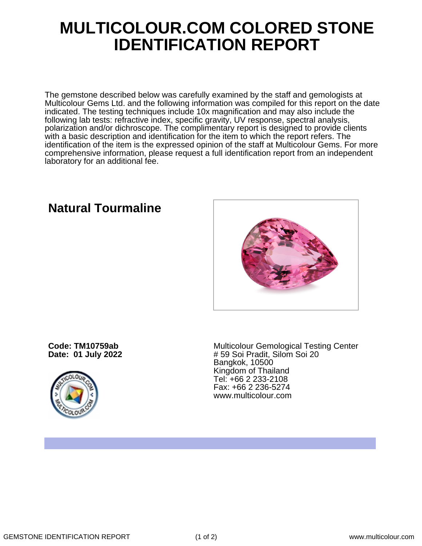## **MULTICOLOUR.COM COLORED STONE IDENTIFICATION REPORT**

The gemstone described below was carefully examined by the staff and gemologists at Multicolour Gems Ltd. and the following information was compiled for this report on the date indicated. The testing techniques include 10x magnification and may also include the following lab tests: refractive index, specific gravity, UV response, spectral analysis, polarization and/or dichroscope. The complimentary report is designed to provide clients with a basic description and identification for the item to which the report refers. The identification of the item is the expressed opinion of the staff at Multicolour Gems. For more comprehensive information, please request a full identification report from an independent laboratory for an additional fee.

### **Natural Tourmaline**

**Code: TM10759ab Date: 01 July 2022**



Multicolour Gemological Testing Center # 59 Soi Pradit, Silom Soi 20 Bangkok, 10500 Kingdom of Thailand Tel: +66 2 233-2108 Fax: +66 2 236-5274 www.multicolour.com